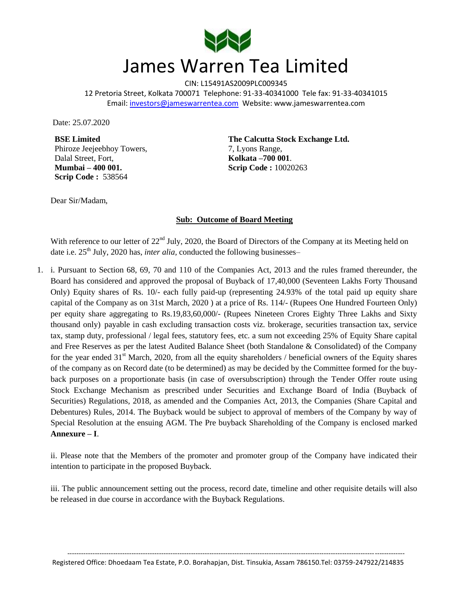

CIN: L15491AS2009PLC009345 12 Pretoria Street, Kolkata 700071 Telephone: 91-33-40341000 Tele fax: 91-33-40341015 Email: investors@jameswarrentea.com Website: www.jameswarrentea.com

Date: 25.07.2020

**BSE Limited** Phiroze Jeejeebhoy Towers, Dalal Street, Fort, **Mumbai – 400 001. Scrip Code :** 538564

**The Calcutta Stock Exchange Ltd.** 7, Lyons Range, **Kolkata –700 001**. **Scrip Code :** 10020263

Dear Sir/Madam,

## **Sub: Outcome of Board Meeting**

With reference to our letter of 22<sup>nd</sup> July, 2020, the Board of Directors of the Company at its Meeting held on date i.e. 25<sup>th</sup> July, 2020 has, *inter alia*, conducted the following businesses–

1. i. Pursuant to Section 68, 69, 70 and 110 of the Companies Act, 2013 and the rules framed thereunder, the Board has considered and approved the proposal of Buyback of 17,40,000 (Seventeen Lakhs Forty Thousand Only) Equity shares of Rs. 10/- each fully paid-up (representing 24.93% of the total paid up equity share capital of the Company as on 31st March, 2020 ) at a price of Rs. 114/- (Rupees One Hundred Fourteen Only) per equity share aggregating to Rs.19,83,60,000/- (Rupees Nineteen Crores Eighty Three Lakhs and Sixty thousand only) payable in cash excluding transaction costs viz. brokerage, securities transaction tax, service tax, stamp duty, professional / legal fees, statutory fees, etc. a sum not exceeding 25% of Equity Share capital and Free Reserves as per the latest Audited Balance Sheet (both Standalone & Consolidated) of the Company for the year ended  $31<sup>st</sup>$  March, 2020, from all the equity shareholders / beneficial owners of the Equity shares of the company as on Record date (to be determined) as may be decided by the Committee formed for the buyback purposes on a proportionate basis (in case of oversubscription) through the Tender Offer route using Stock Exchange Mechanism as prescribed under Securities and Exchange Board of India (Buyback of Securities) Regulations, 2018, as amended and the Companies Act, 2013, the Companies (Share Capital and Debentures) Rules, 2014. The Buyback would be subject to approval of members of the Company by way of Special Resolution at the ensuing AGM. The Pre buyback Shareholding of the Company is enclosed marked **Annexure – I**.

ii. Please note that the Members of the promoter and promoter group of the Company have indicated their intention to participate in the proposed Buyback.

iii. The public announcement setting out the process, record date, timeline and other requisite details will also be released in due course in accordance with the Buyback Regulations.

---------------------------------------------------------------------------------------------------------------------------------------------------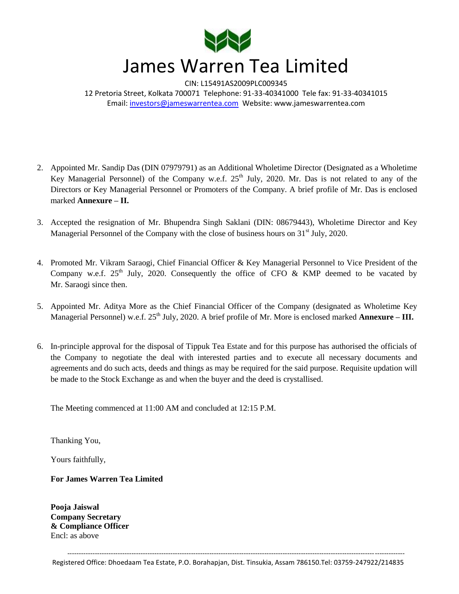

CIN: L15491AS2009PLC009345 12 Pretoria Street, Kolkata 700071 Telephone: 91-33-40341000 Tele fax: 91-33-40341015 Email: investors@jameswarrentea.com Website: www.jameswarrentea.com

- 2. Appointed Mr. Sandip Das (DIN 07979791) as an Additional Wholetime Director (Designated as a Wholetime Key Managerial Personnel) of the Company w.e.f. 25<sup>th</sup> July, 2020. Mr. Das is not related to any of the Directors or Key Managerial Personnel or Promoters of the Company. A brief profile of Mr. Das is enclosed marked **Annexure – II.**
- 3. Accepted the resignation of Mr. Bhupendra Singh Saklani (DIN: 08679443), Wholetime Director and Key Managerial Personnel of the Company with the close of business hours on  $31<sup>st</sup>$  July, 2020.
- 4. Promoted Mr. Vikram Saraogi, Chief Financial Officer & Key Managerial Personnel to Vice President of the Company w.e.f.  $25<sup>th</sup>$  July, 2020. Consequently the office of CFO & KMP deemed to be vacated by Mr. Saraogi since then.
- 5. Appointed Mr. Aditya More as the Chief Financial Officer of the Company (designated as Wholetime Key Managerial Personnel) w.e.f. 25<sup>th</sup> July, 2020. A brief profile of Mr. More is enclosed marked Annexure – III.
- 6. In-principle approval for the disposal of Tippuk Tea Estate and for this purpose has authorised the officials of the Company to negotiate the deal with interested parties and to execute all necessary documents and agreements and do such acts, deeds and things as may be required for the said purpose. Requisite updation will be made to the Stock Exchange as and when the buyer and the deed is crystallised.

The Meeting commenced at 11:00 AM and concluded at 12:15 P.M.

Thanking You,

Yours faithfully,

**For James Warren Tea Limited**

**Pooja Jaiswal Company Secretary & Compliance Officer** Encl: as above

--------------------------------------------------------------------------------------------------------------------------------------------------- Registered Office: Dhoedaam Tea Estate, P.O. Borahapjan, Dist. Tinsukia, Assam 786150.Tel: 03759-247922/214835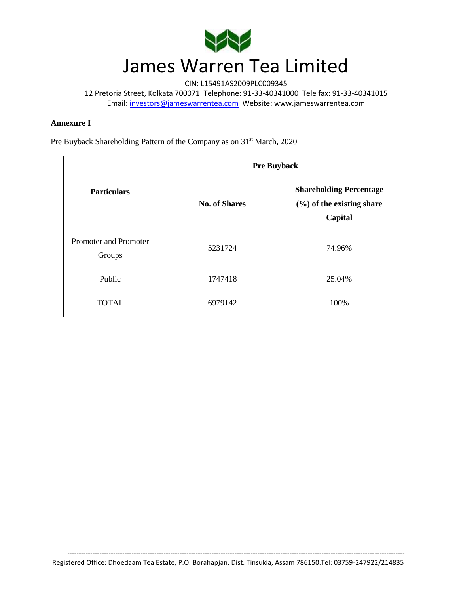

CIN: L15491AS2009PLC009345

12 Pretoria Street, Kolkata 700071 Telephone: 91-33-40341000 Tele fax: 91-33-40341015 Email: investors@jameswarrentea.com Website: www.jameswarrentea.com

## **Annexure I**

Pre Buyback Shareholding Pattern of the Company as on 31<sup>st</sup> March, 2020

| <b>Particulars</b>              | <b>Pre Buyback</b>   |                                                                           |
|---------------------------------|----------------------|---------------------------------------------------------------------------|
|                                 | <b>No. of Shares</b> | <b>Shareholding Percentage</b><br>$(\%)$ of the existing share<br>Capital |
| Promoter and Promoter<br>Groups | 5231724              | 74.96%                                                                    |
| Public                          | 1747418              | 25.04%                                                                    |
| <b>TOTAL</b>                    | 6979142              | 100%                                                                      |

---------------------------------------------------------------------------------------------------------------------------------------------------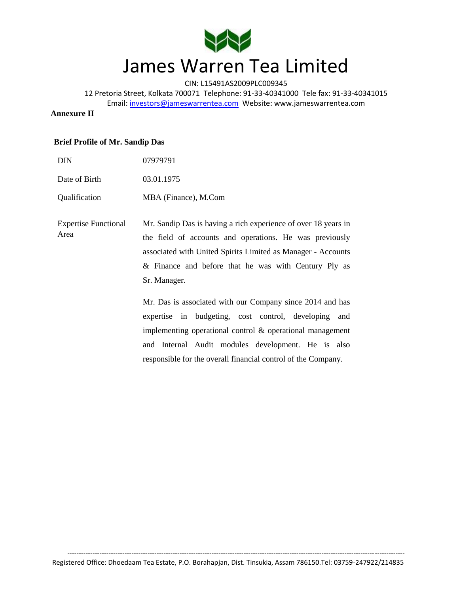

CIN: L15491AS2009PLC009345

12 Pretoria Street, Kolkata 700071 Telephone: 91-33-40341000 Tele fax: 91-33-40341015 Email: investors@jameswarrentea.com Website: www.jameswarrentea.com

> implementing operational control & operational management and Internal Audit modules development. He is also responsible for the overall financial control of the Company.

## **Annexure II**

## **Brief Profile of Mr. Sandip Das**

| <b>DIN</b>                          | 07979791                                                                                                                                                                                                                                                          |  |
|-------------------------------------|-------------------------------------------------------------------------------------------------------------------------------------------------------------------------------------------------------------------------------------------------------------------|--|
| Date of Birth                       | 03.01.1975                                                                                                                                                                                                                                                        |  |
| Qualification                       | MBA (Finance), M.Com                                                                                                                                                                                                                                              |  |
| <b>Expertise Functional</b><br>Area | Mr. Sandip Das is having a rich experience of over 18 years in<br>the field of accounts and operations. He was previously<br>associated with United Spirits Limited as Manager - Accounts<br>& Finance and before that he was with Century Ply as<br>Sr. Manager. |  |
|                                     | Mr. Das is associated with our Company since 2014 and has<br>expertise in budgeting, cost control, developing<br>and                                                                                                                                              |  |

--------------------------------------------------------------------------------------------------------------------------------------------------- Registered Office: Dhoedaam Tea Estate, P.O. Borahapjan, Dist. Tinsukia, Assam 786150.Tel: 03759-247922/214835